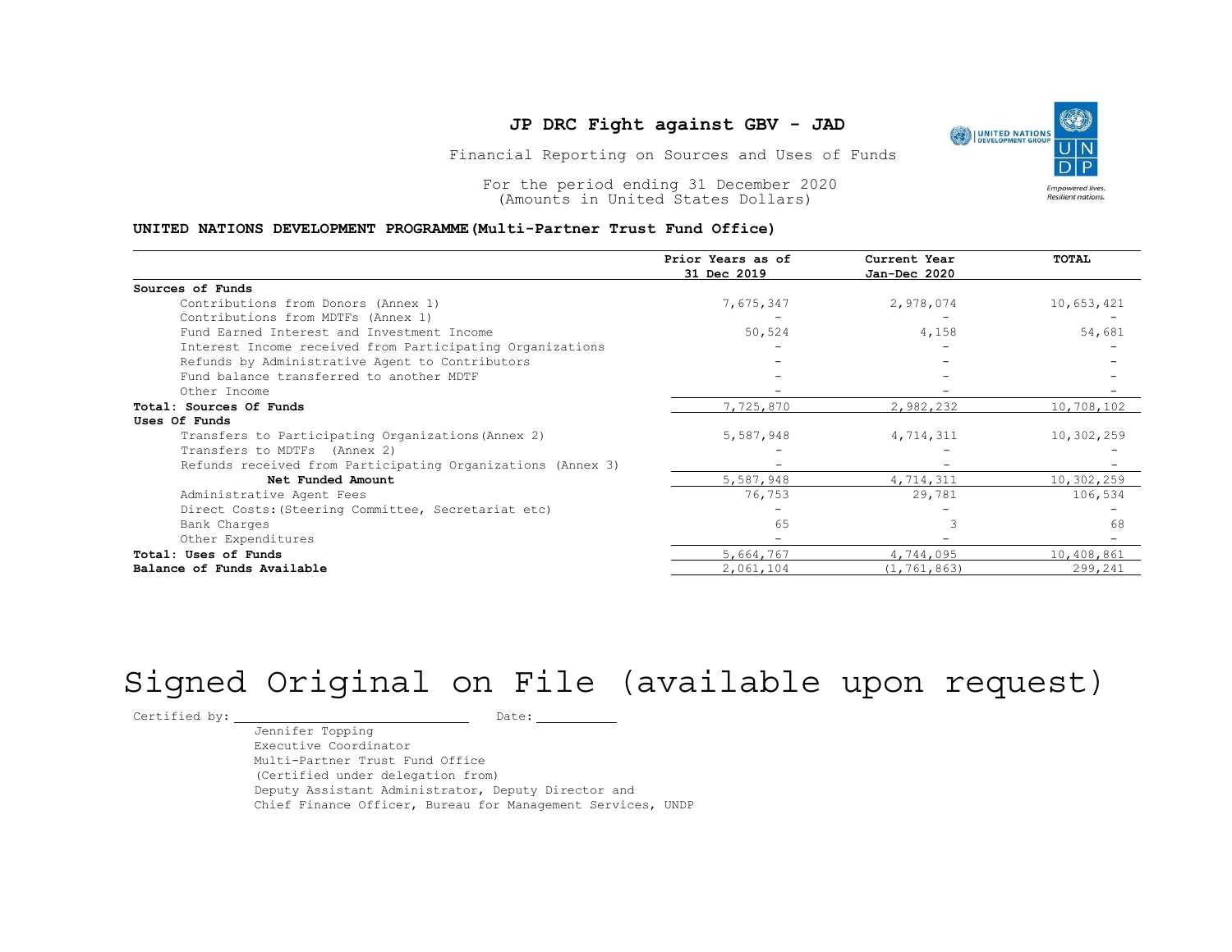#### UNITED NATIONS DEVELOPMENT PROGRAMME(Multi-Partner Trust Fund Office)

| For the period ending 31 December 2020<br><b>Empowered lives.</b><br>Resilient nations.<br>(Amounts in United States Dollars)<br>UNITED NATIONS DEVELOPMENT PROGRAMME (Multi-Partner Trust Fund Office) |                                  |                              |                          |  |  |
|---------------------------------------------------------------------------------------------------------------------------------------------------------------------------------------------------------|----------------------------------|------------------------------|--------------------------|--|--|
|                                                                                                                                                                                                         | Prior Years as of<br>31 Dec 2019 | Current Year<br>Jan-Dec 2020 | TOTAL                    |  |  |
| Sources of Funds                                                                                                                                                                                        |                                  |                              |                          |  |  |
| Contributions from Donors (Annex 1)                                                                                                                                                                     | 7,675,347                        | 2,978,074                    | 10,653,421               |  |  |
| Contributions from MDTFs (Annex 1)                                                                                                                                                                      |                                  |                              |                          |  |  |
| Fund Earned Interest and Investment Income                                                                                                                                                              | 50,524                           | 4,158                        | 54,681                   |  |  |
| Interest Income received from Participating Organizations                                                                                                                                               |                                  |                              |                          |  |  |
| Refunds by Administrative Agent to Contributors                                                                                                                                                         |                                  |                              |                          |  |  |
| Fund balance transferred to another MDTF                                                                                                                                                                |                                  |                              |                          |  |  |
| Other Income                                                                                                                                                                                            |                                  |                              |                          |  |  |
| Total: Sources Of Funds                                                                                                                                                                                 | 7,725,870                        | 2,982,232                    | 10,708,102               |  |  |
| Uses Of Funds                                                                                                                                                                                           |                                  |                              |                          |  |  |
| Transfers to Participating Organizations (Annex 2)                                                                                                                                                      | 5,587,948                        | 4,714,311                    | 10,302,259               |  |  |
| Transfers to MDTFs (Annex 2)                                                                                                                                                                            |                                  |                              |                          |  |  |
| Refunds received from Participating Organizations (Annex 3)                                                                                                                                             |                                  |                              |                          |  |  |
| Net Funded Amount                                                                                                                                                                                       | 5,587,948                        | 4,714,311                    | 10,302,259               |  |  |
| Administrative Agent Fees                                                                                                                                                                               | 76,753                           | 29,781                       | 106,534                  |  |  |
| Direct Costs: (Steering Committee, Secretariat etc)                                                                                                                                                     | $\overline{\phantom{a}}$         | $\overline{\phantom{a}}$     | $\overline{\phantom{a}}$ |  |  |
| Bank Charges                                                                                                                                                                                            | 65                               | 3                            | 68                       |  |  |
| Other Expenditures                                                                                                                                                                                      | $\overline{\phantom{0}}$         |                              |                          |  |  |
| Total: Uses of Funds                                                                                                                                                                                    | 5,664,767                        | 4,744,095                    | 10,408,861               |  |  |
| Balance of Funds Available                                                                                                                                                                              | 2,061,104                        | (1, 761, 863)                | 299,241                  |  |  |

# Signed Original on File (available upon request)

Certified by: Date:

Jennifer Topping Executive Coordinator Multi-Partner Trust Fund Office (Certified under delegation from) Deputy Assistant Administrator, Deputy Director and Chief Finance Officer, Bureau for Management Services, UNDP

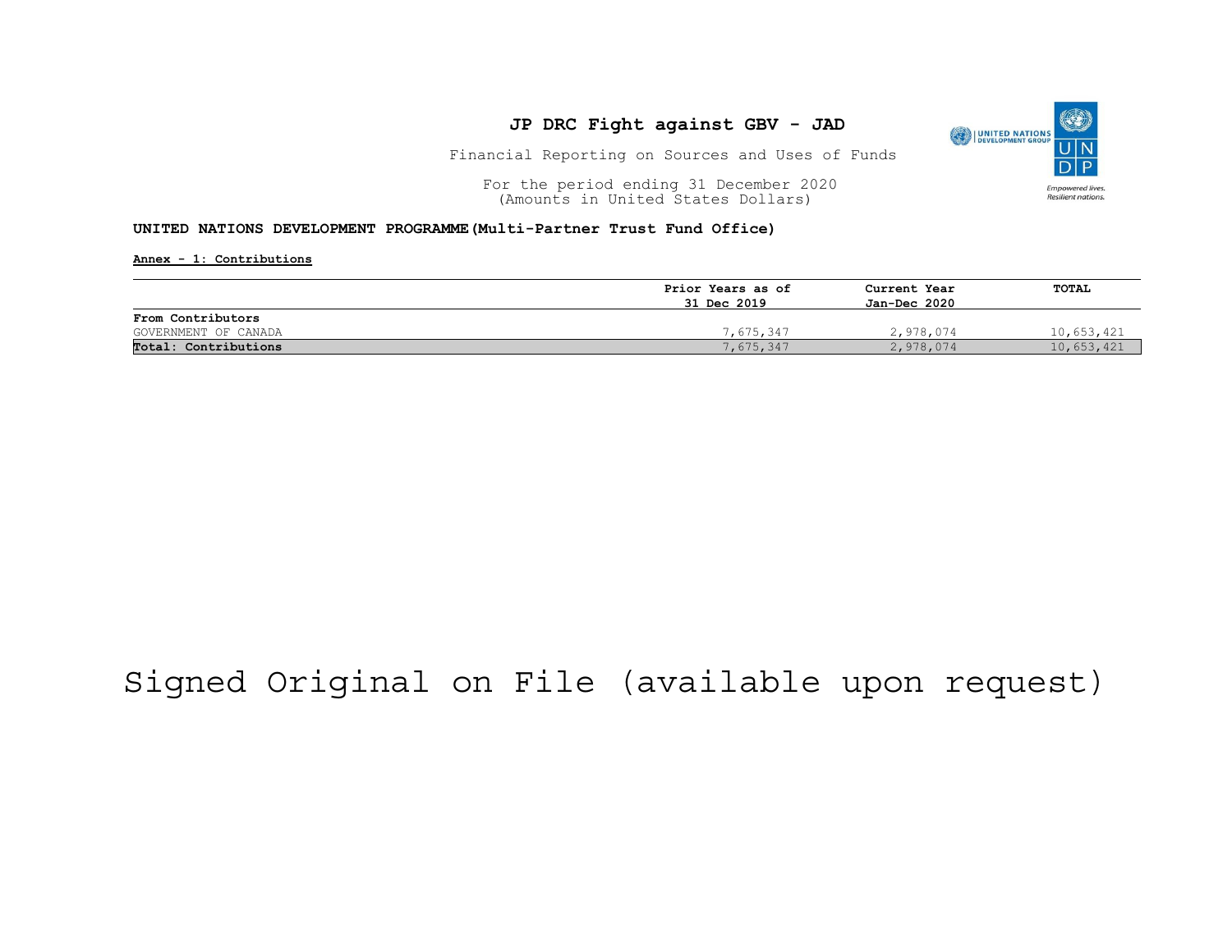

Financial Reporting on Sources and Uses of Funds

For the period ending 31 December 2020<br>
(Amounts in United States Dollars) (amounts in United States Dollars) (Amounts in United States Dollars)

#### UNITED NATIONS DEVELOPMENT PROGRAMME(Multi-Partner Trust Fund Office)

Annex - 1: Contributions

|                      | Prior Years as of | Current Year<br>Jan-Dec 2020 | TOTAL      |
|----------------------|-------------------|------------------------------|------------|
|                      | 31 Dec 2019       |                              |            |
| From Contributors    |                   |                              |            |
| GOVERNMENT OF CANADA | 7,675,347         | 2,978,074                    | 10,653,421 |
| Total: Contributions | 7,675,347         | 2,978,074                    | 10,653,421 |

## Signed Original on File (available upon request)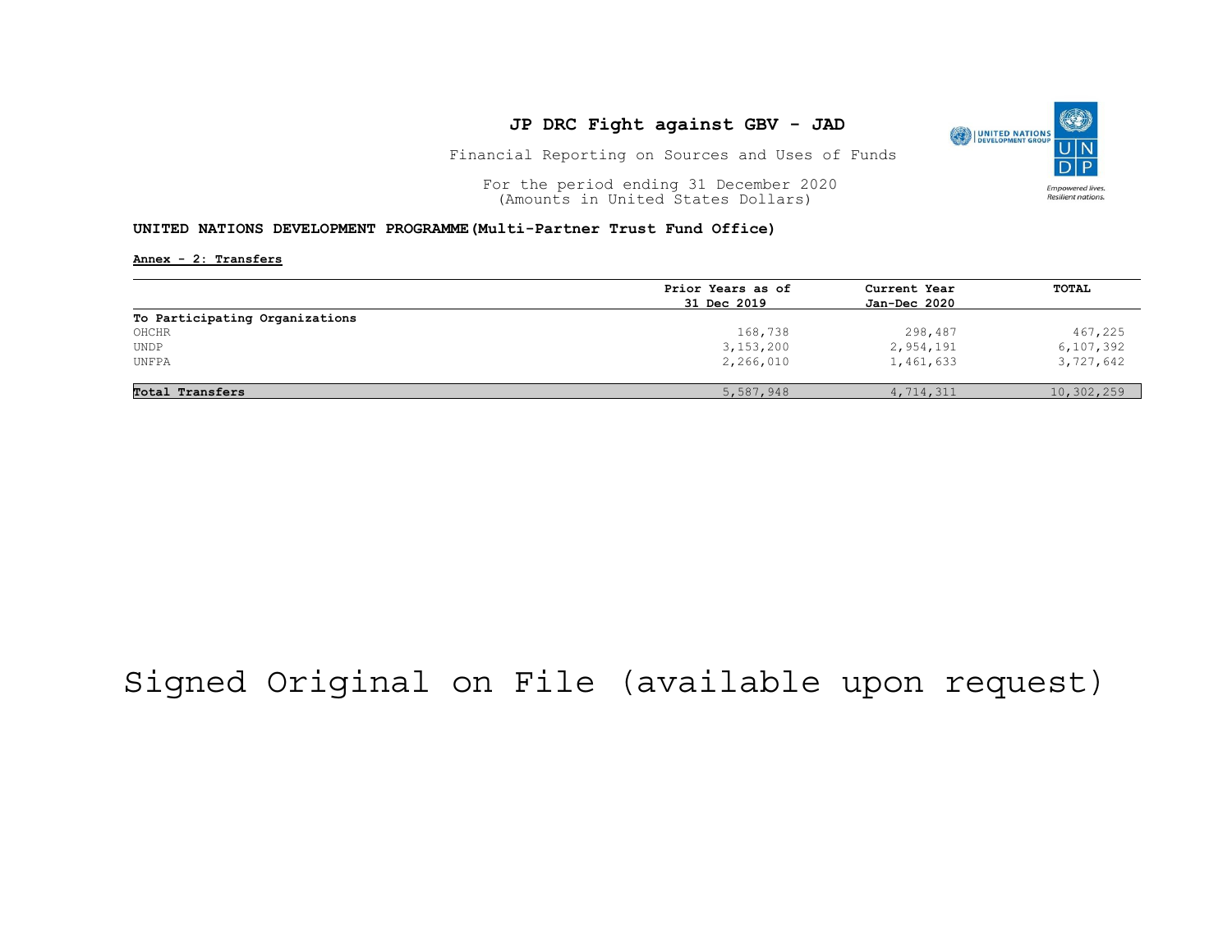

Financial Reporting on Sources and Uses of Funds

For the period ending 31 December 2020<br>
(Amounts in United States Dollars) (amounts in United States Dollars) (Amounts in United States Dollars)

#### UNITED NATIONS DEVELOPMENT PROGRAMME(Multi-Partner Trust Fund Office)

Annex - 2: Transfers

|                                     | Prior Years as of | Current Year<br>Jan-Dec 2020 | <b>TOTAL</b> |
|-------------------------------------|-------------------|------------------------------|--------------|
|                                     | 31 Dec 2019       |                              |              |
| To Participating Organizations      |                   |                              |              |
| OHCHR                               | 168,738           | 298,487                      | 467,225      |
| $\ensuremath{\mathsf{UNDP}}\xspace$ | 3,153,200         | 2,954,191                    | 6, 107, 392  |
| UNFPA                               | 2,266,010         | 1,461,633                    | 3,727,642    |
| Total Transfers                     | 5,587,948         | 4,714,311                    | 10,302,259   |

## Signed Original on File (available upon request)